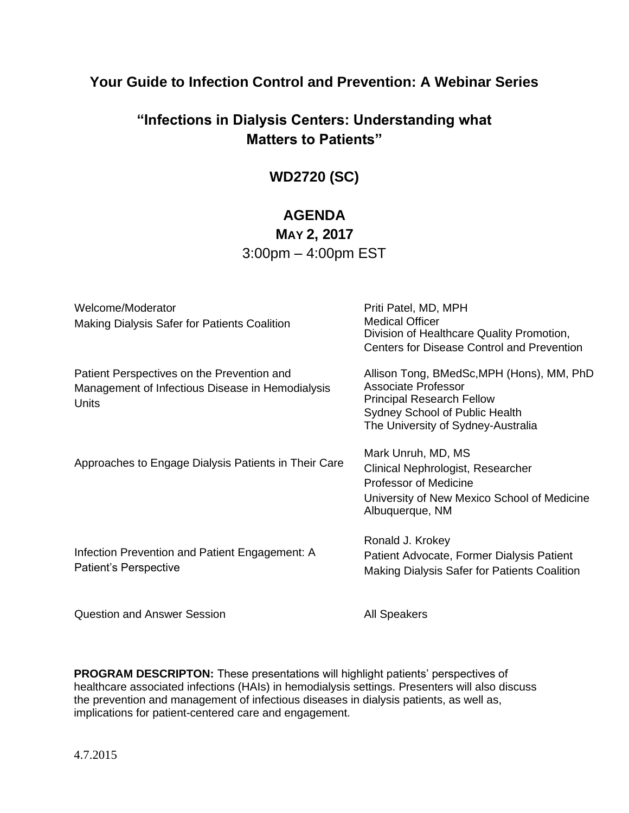### **Your Guide to Infection Control and Prevention: A Webinar Series**

# **"Infections in Dialysis Centers: Understanding what Matters to Patients"**

# **WD2720 (SC)**

### **AGENDA**

### **MAY 2, 2017** 3:00pm – 4:00pm EST

| Welcome/Moderator<br>Making Dialysis Safer for Patients Coalition                                              | Priti Patel, MD, MPH<br><b>Medical Officer</b><br>Division of Healthcare Quality Promotion,<br><b>Centers for Disease Control and Prevention</b>                             |
|----------------------------------------------------------------------------------------------------------------|------------------------------------------------------------------------------------------------------------------------------------------------------------------------------|
| Patient Perspectives on the Prevention and<br>Management of Infectious Disease in Hemodialysis<br><b>Units</b> | Allison Tong, BMedSc, MPH (Hons), MM, PhD<br>Associate Professor<br><b>Principal Research Fellow</b><br>Sydney School of Public Health<br>The University of Sydney-Australia |
| Approaches to Engage Dialysis Patients in Their Care                                                           | Mark Unruh, MD, MS<br>Clinical Nephrologist, Researcher<br>Professor of Medicine<br>University of New Mexico School of Medicine<br>Albuquerque, NM                           |
| Infection Prevention and Patient Engagement: A<br>Patient's Perspective                                        | Ronald J. Krokey<br>Patient Advocate, Former Dialysis Patient<br>Making Dialysis Safer for Patients Coalition                                                                |
| <b>Question and Answer Session</b>                                                                             | <b>All Speakers</b>                                                                                                                                                          |

**PROGRAM DESCRIPTON:** These presentations will highlight patients' perspectives of healthcare associated infections (HAIs) in hemodialysis settings. Presenters will also discuss the prevention and management of infectious diseases in dialysis patients, as well as, implications for patient-centered care and engagement.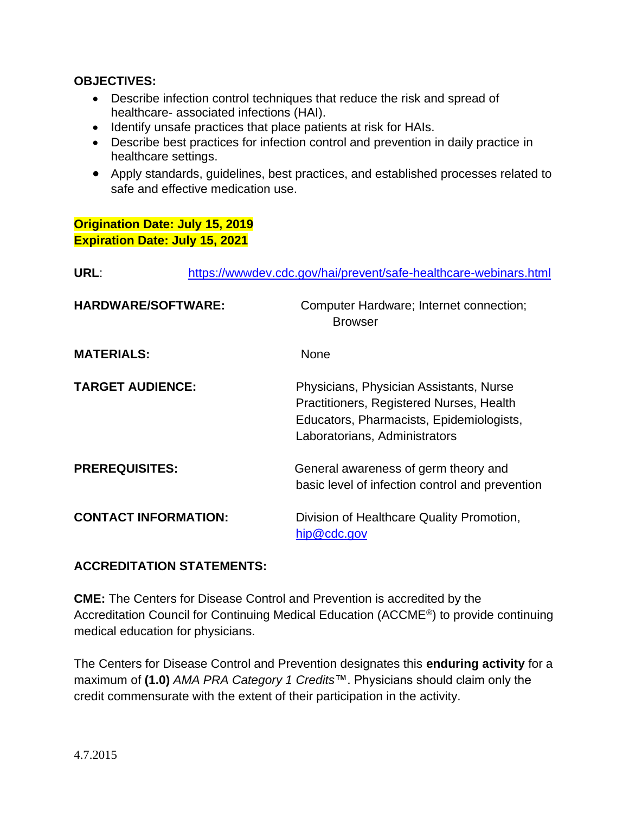#### **OBJECTIVES:**

- Describe infection control techniques that reduce the risk and spread of healthcare- associated infections (HAI).
- Identify unsafe practices that place patients at risk for HAIs.
- Describe best practices for infection control and prevention in daily practice in healthcare settings.
- Apply standards, guidelines, best practices, and established processes related to safe and effective medication use.

#### **Origination Date: July 15, 2019 Expiration Date: July 15, 2021**

| <b>URL:</b>                 | https://wwwdev.cdc.gov/hai/prevent/safe-healthcare-webinars.html                                                                                                 |
|-----------------------------|------------------------------------------------------------------------------------------------------------------------------------------------------------------|
| <b>HARDWARE/SOFTWARE:</b>   | Computer Hardware; Internet connection;<br><b>Browser</b>                                                                                                        |
| <b>MATERIALS:</b>           | None                                                                                                                                                             |
| <b>TARGET AUDIENCE:</b>     | Physicians, Physician Assistants, Nurse<br>Practitioners, Registered Nurses, Health<br>Educators, Pharmacists, Epidemiologists,<br>Laboratorians, Administrators |
| <b>PREREQUISITES:</b>       | General awareness of germ theory and<br>basic level of infection control and prevention                                                                          |
| <b>CONTACT INFORMATION:</b> | Division of Healthcare Quality Promotion,<br>hip@cdc.gov                                                                                                         |

### **ACCREDITATION STATEMENTS:**

**CME:** The Centers for Disease Control and Prevention is accredited by the Accreditation Council for Continuing Medical Education (ACCME®) to provide continuing medical education for physicians.

The Centers for Disease Control and Prevention designates this **enduring activity** for a maximum of **(1.0)** *AMA PRA Category 1 Credits*™. Physicians should claim only the credit commensurate with the extent of their participation in the activity.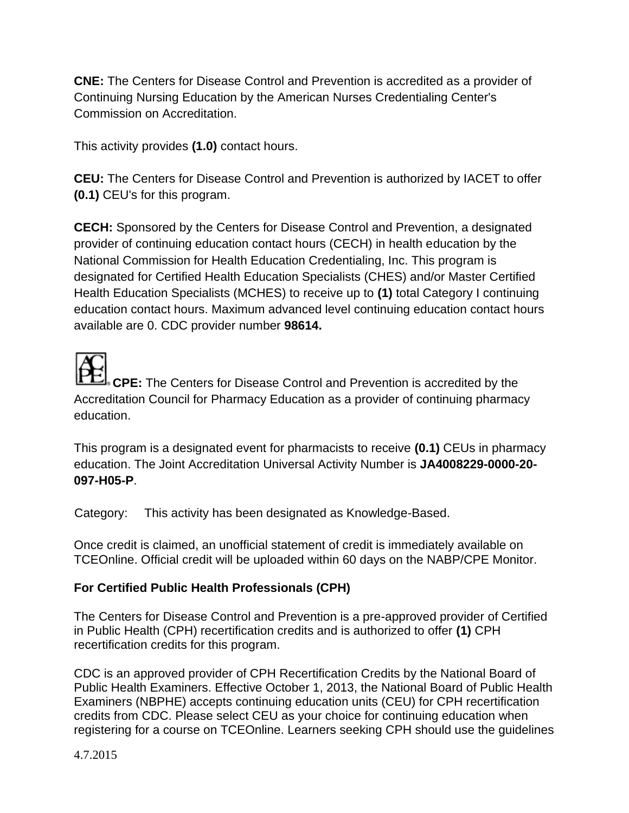**CNE:** The Centers for Disease Control and Prevention is accredited as a provider of Continuing Nursing Education by the American Nurses Credentialing Center's Commission on Accreditation.

This activity provides **(1.0)** contact hours.

**CEU:** The Centers for Disease Control and Prevention is authorized by IACET to offer **(0.1)** CEU's for this program.

**CECH:** Sponsored by the Centers for Disease Control and Prevention, a designated provider of continuing education contact hours (CECH) in health education by the National Commission for Health Education Credentialing, Inc. This program is designated for Certified Health Education Specialists (CHES) and/or Master Certified Health Education Specialists (MCHES) to receive up to **(1)** total Category I continuing education contact hours. Maximum advanced level continuing education contact hours available are 0. CDC provider number **98614.**

**CPE:** The Centers for Disease Control and Prevention is accredited by the Accreditation Council for Pharmacy Education as a provider of continuing pharmacy education.

This program is a designated event for pharmacists to receive **(0.1)** CEUs in pharmacy education. The Joint Accreditation Universal Activity Number is **JA4008229-0000-20- 097-H05-P**.

Category: This activity has been designated as Knowledge-Based.

Once credit is claimed, an unofficial statement of credit is immediately available on TCEOnline. Official credit will be uploaded within 60 days on the NABP/CPE Monitor.

### **For Certified Public Health Professionals (CPH)**

The Centers for Disease Control and Prevention is a pre-approved provider of Certified in Public Health (CPH) recertification credits and is authorized to offer **(1)** CPH recertification credits for this program.

CDC is an approved provider of CPH Recertification Credits by the National Board of Public Health Examiners. Effective October 1, 2013, the National Board of Public Health Examiners (NBPHE) accepts continuing education units (CEU) for CPH recertification credits from CDC. Please select CEU as your choice for continuing education when registering for a course on TCEOnline. Learners seeking CPH should use the guidelines